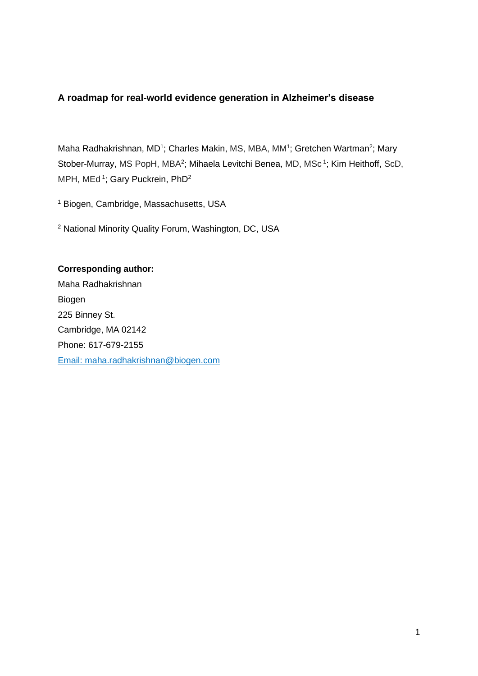### **A roadmap for real-world evidence generation in Alzheimer's disease**

Maha Radhakrishnan, MD<sup>1</sup>; Charles Makin, MS, MBA, MM<sup>1</sup>; Gretchen Wartman<sup>2</sup>; Mary Stober-Murray, MS PopH, MBA<sup>2</sup>; Mihaela Levitchi Benea, MD, MSc<sup>1</sup>; Kim Heithoff, ScD, MPH, MEd<sup>1</sup>; Gary Puckrein, PhD<sup>2</sup>

<sup>1</sup> Biogen, Cambridge, Massachusetts, USA

<sup>2</sup> National Minority Quality Forum, Washington, DC, USA

### **Corresponding author:**

Maha Radhakrishnan Biogen 225 Binney St. Cambridge, MA 02142 Phone: 617-679-2155 Email: [maha.radhakrishnan@biogen.com](mailto:maha.radhakrishnan@biogen.com)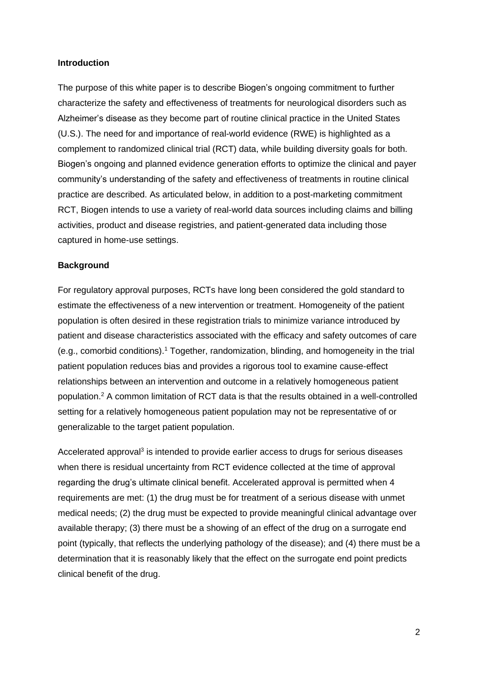#### **Introduction**

The purpose of this white paper is to describe Biogen's ongoing commitment to further characterize the safety and effectiveness of treatments for neurological disorders such as Alzheimer's disease as they become part of routine clinical practice in the United States (U.S.). The need for and importance of real-world evidence (RWE) is highlighted as a complement to randomized clinical trial (RCT) data, while building diversity goals for both. Biogen's ongoing and planned evidence generation efforts to optimize the clinical and payer community's understanding of the safety and effectiveness of treatments in routine clinical practice are described. As articulated below, in addition to a post-marketing commitment RCT, Biogen intends to use a variety of real-world data sources including claims and billing activities, product and disease registries, and patient-generated data including those captured in home-use settings.

#### **Background**

For regulatory approval purposes, RCTs have long been considered the gold standard to estimate the effectiveness of a new intervention or treatment. Homogeneity of the patient population is often desired in these registration trials to minimize variance introduced by patient and disease characteristics associated with the efficacy and safety outcomes of care (e.g., comorbid conditions). <sup>1</sup> Together, randomization, blinding, and homogeneity in the trial patient population reduces bias and provides a rigorous tool to examine cause-effect relationships between an intervention and outcome in a relatively homogeneous patient population.<sup>2</sup> A common limitation of RCT data is that the results obtained in a well-controlled setting for a relatively homogeneous patient population may not be representative of or generalizable to the target patient population.

Accelerated approval<sup>3</sup> is intended to provide earlier access to drugs for serious diseases when there is residual uncertainty from RCT evidence collected at the time of approval regarding the drug's ultimate clinical benefit. Accelerated approval is permitted when 4 requirements are met: (1) the drug must be for treatment of a serious disease with unmet medical needs; (2) the drug must be expected to provide meaningful clinical advantage over available therapy; (3) there must be a showing of an effect of the drug on a surrogate end point (typically, that reflects the underlying pathology of the disease); and (4) there must be a determination that it is reasonably likely that the effect on the surrogate end point predicts clinical benefit of the drug.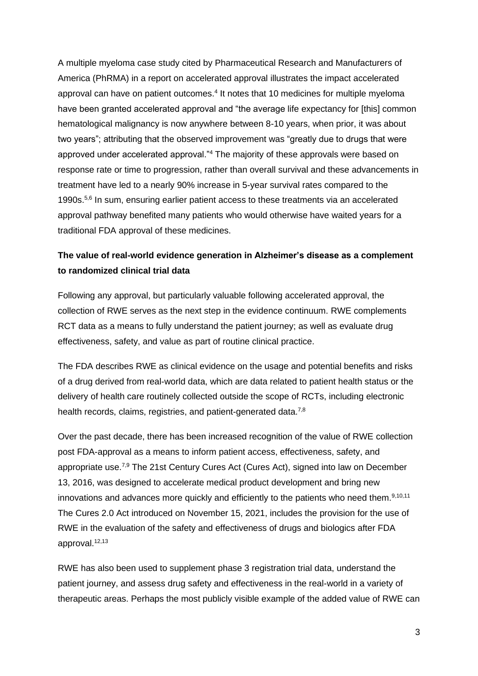A multiple myeloma case study cited by Pharmaceutical Research and Manufacturers of America (PhRMA) in a report on accelerated approval illustrates the impact accelerated approval can have on patient outcomes.<sup>4</sup> It notes that 10 medicines for multiple myeloma have been granted accelerated approval and "the average life expectancy for [this] common hematological malignancy is now anywhere between 8-10 years, when prior, it was about two years"; attributing that the observed improvement was "greatly due to drugs that were approved under accelerated approval."<sup>4</sup> The majority of these approvals were based on response rate or time to progression, rather than overall survival and these advancements in treatment have led to a nearly 90% increase in 5-year survival rates compared to the 1990s.5,6 In sum, ensuring earlier patient access to these treatments via an accelerated approval pathway benefited many patients who would otherwise have waited years for a traditional FDA approval of these medicines.

### **The value of real-world evidence generation in Alzheimer's disease as a complement to randomized clinical trial data**

Following any approval, but particularly valuable following accelerated approval, the collection of RWE serves as the next step in the evidence continuum. RWE complements RCT data as a means to fully understand the patient journey; as well as evaluate drug effectiveness, safety, and value as part of routine clinical practice.

The FDA describes RWE as clinical evidence on the usage and potential benefits and risks of a drug derived from real-world data, which are data related to patient health status or the delivery of health care routinely collected outside the scope of RCTs, including electronic health records, claims, registries, and patient-generated data.<sup>7,8</sup>

Over the past decade, there has been increased recognition of the value of RWE collection post FDA-approval as a means to inform patient access, effectiveness, safety, and appropriate use.<sup>7,9</sup> The 21st Century Cures Act (Cures Act), signed into law on December 13, 2016, was designed to accelerate medical product development and bring new innovations and advances more quickly and efficiently to the patients who need them.<sup>9,10,11</sup> The Cures 2.0 Act introduced on November 15, 2021, includes the provision for the use of RWE in the evaluation of the safety and effectiveness of drugs and biologics after FDA approval. $12,13$ 

RWE has also been used to supplement phase 3 registration trial data, understand the patient journey, and assess drug safety and effectiveness in the real-world in a variety of therapeutic areas. Perhaps the most publicly visible example of the added value of RWE can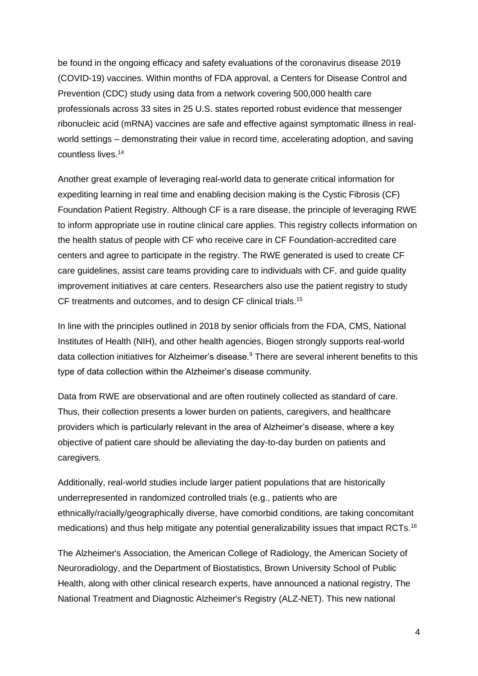be found in the ongoing efficacy and safety evaluations of the coronavirus disease 2019 (COVID-19) vaccines. Within months of FDA approval, a Centers for Disease Control and Prevention (CDC) study using data from a network covering 500,000 health care professionals across 33 sites in 25 U.S. states reported robust evidence that messenger ribonucleic acid (mRNA) vaccines are safe and effective against symptomatic illness in realworld settings – demonstrating their value in record time, accelerating adoption, and saving countless lives.<sup>14</sup>

Another great example of leveraging real-world data to generate critical information for expediting learning in real time and enabling decision making is the Cystic Fibrosis (CF) Foundation Patient Registry. Although CF is a rare disease, the principle of leveraging RWE to inform appropriate use in routine clinical care applies. This registry collects information on the health status of people with CF who receive care in CF Foundation-accredited care centers and agree to participate in the registry. The RWE generated is used to create CF care guidelines, assist care teams providing care to individuals with CF, and guide quality improvement initiatives at care centers. Researchers also use the patient registry to study CF treatments and outcomes, and to design CF clinical trials.<sup>15</sup>

In line with the principles outlined in 2018 by senior officials from the FDA, CMS, National Institutes of Health (NIH), and other health agencies, Biogen strongly supports real-world data collection initiatives for Alzheimer's disease. <sup>9</sup> There are several inherent benefits to this type of data collection within the Alzheimer's disease community.

Data from RWE are observational and are often routinely collected as standard of care. Thus, their collection presents a lower burden on patients, caregivers, and healthcare providers which is particularly relevant in the area of Alzheimer's disease, where a key objective of patient care should be alleviating the day-to-day burden on patients and caregivers.

Additionally, real-world studies include larger patient populations that are historically underrepresented in randomized controlled trials (e.g., patients who are ethnically/racially/geographically diverse, have comorbid conditions, are taking concomitant medications) and thus help mitigate any potential generalizability issues that impact RCTs.<sup>16</sup>

The Alzheimer's Association, the American College of Radiology, the American Society of Neuroradiology, and the Department of Biostatistics, Brown University School of Public Health, along with other clinical research experts, have announced a national registry, The National Treatment and Diagnostic Alzheimer's Registry (ALZ-NET). This new national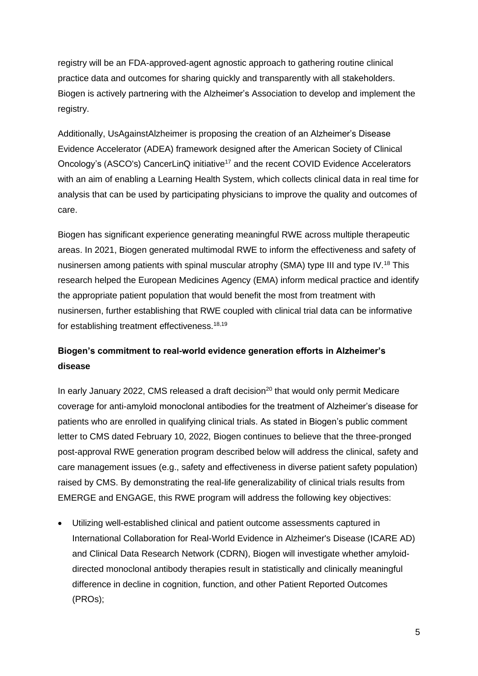registry will be an FDA-approved-agent agnostic approach to gathering routine clinical practice data and outcomes for sharing quickly and transparently with all stakeholders. Biogen is actively partnering with the Alzheimer's Association to develop and implement the registry.

Additionally, UsAgainstAlzheimer is proposing the creation of an Alzheimer's Disease Evidence Accelerator (ADEA) framework designed after the American Society of Clinical Oncology's (ASCO's) CancerLinQ initiative<sup>17</sup> and the recent COVID Evidence Accelerators with an aim of enabling a Learning Health System, which collects clinical data in real time for analysis that can be used by participating physicians to improve the quality and outcomes of care.

Biogen has significant experience generating meaningful RWE across multiple therapeutic areas. In 2021, Biogen generated multimodal RWE to inform the effectiveness and safety of nusinersen among patients with spinal muscular atrophy (SMA) type III and type IV.<sup>18</sup> This research helped the European Medicines Agency (EMA) inform medical practice and identify the appropriate patient population that would benefit the most from treatment with nusinersen, further establishing that RWE coupled with clinical trial data can be informative for establishing treatment effectiveness.<sup>18,19</sup>

## **Biogen's commitment to real-world evidence generation efforts in Alzheimer's disease**

In early January 2022, CMS released a draft decision<sup>20</sup> that would only permit Medicare coverage for anti-amyloid monoclonal antibodies for the treatment of Alzheimer's disease for patients who are enrolled in qualifying clinical trials. As stated in Biogen's public comment letter to CMS dated February 10, 2022, Biogen continues to believe that the three-pronged post-approval RWE generation program described below will address the clinical, safety and care management issues (e.g., safety and effectiveness in diverse patient safety population) raised by CMS. By demonstrating the real-life generalizability of clinical trials results from EMERGE and ENGAGE, this RWE program will address the following key objectives:

• Utilizing well-established clinical and patient outcome assessments captured in International Collaboration for Real-World Evidence in Alzheimer's Disease (ICARE AD) and Clinical Data Research Network (CDRN), Biogen will investigate whether amyloiddirected monoclonal antibody therapies result in statistically and clinically meaningful difference in decline in cognition, function, and other Patient Reported Outcomes (PROs);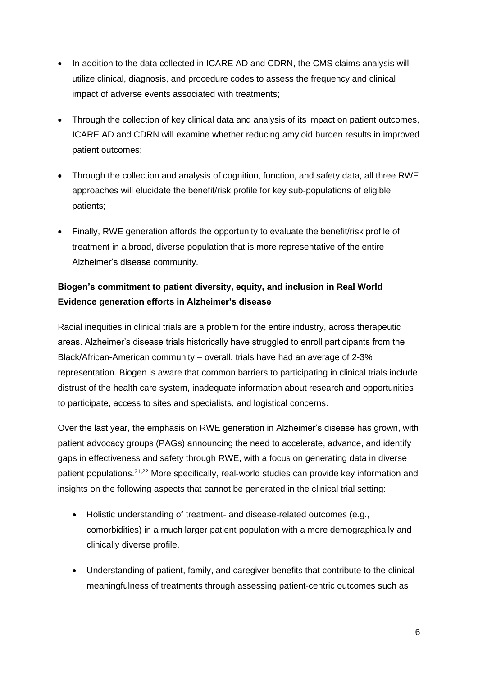- In addition to the data collected in ICARE AD and CDRN, the CMS claims analysis will utilize clinical, diagnosis, and procedure codes to assess the frequency and clinical impact of adverse events associated with treatments;
- Through the collection of key clinical data and analysis of its impact on patient outcomes, ICARE AD and CDRN will examine whether reducing amyloid burden results in improved patient outcomes;
- Through the collection and analysis of cognition, function, and safety data, all three RWE approaches will elucidate the benefit/risk profile for key sub-populations of eligible patients;
- Finally, RWE generation affords the opportunity to evaluate the benefit/risk profile of treatment in a broad, diverse population that is more representative of the entire Alzheimer's disease community.

# **Biogen's commitment to patient diversity, equity, and inclusion in Real World Evidence generation efforts in Alzheimer's disease**

Racial inequities in clinical trials are a problem for the entire industry, across therapeutic areas. Alzheimer's disease trials historically have struggled to enroll participants from the Black/African-American community – overall, trials have had an average of 2-3% representation. Biogen is aware that common barriers to participating in clinical trials include distrust of the health care system, inadequate information about research and opportunities to participate, access to sites and specialists, and logistical concerns.

Over the last year, the emphasis on RWE generation in Alzheimer's disease has grown, with patient advocacy groups (PAGs) announcing the need to accelerate, advance, and identify gaps in effectiveness and safety through RWE, with a focus on generating data in diverse patient populations.<sup>21,22</sup> More specifically, real-world studies can provide key information and insights on the following aspects that cannot be generated in the clinical trial setting:

- Holistic understanding of treatment- and disease-related outcomes (e.g., comorbidities) in a much larger patient population with a more demographically and clinically diverse profile.
- Understanding of patient, family, and caregiver benefits that contribute to the clinical meaningfulness of treatments through assessing patient-centric outcomes such as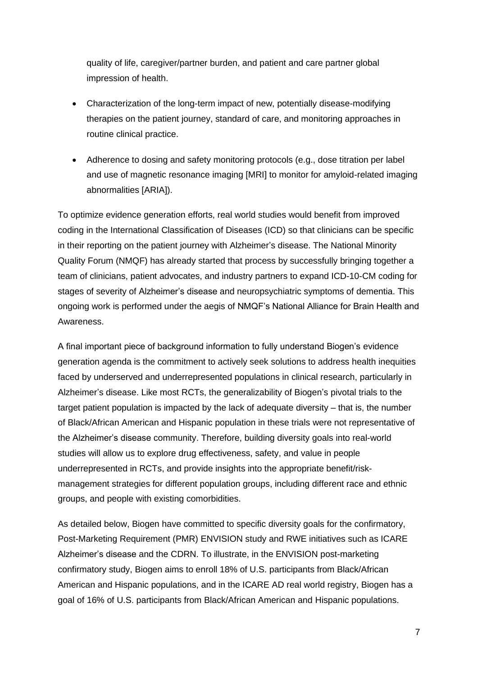quality of life, caregiver/partner burden, and patient and care partner global impression of health.

- Characterization of the long-term impact of new, potentially disease-modifying therapies on the patient journey, standard of care, and monitoring approaches in routine clinical practice.
- Adherence to dosing and safety monitoring protocols (e.g., dose titration per label and use of magnetic resonance imaging [MRI] to monitor for amyloid-related imaging abnormalities [ARIA]).

To optimize evidence generation efforts, real world studies would benefit from improved coding in the International Classification of Diseases (ICD) so that clinicians can be specific in their reporting on the patient journey with Alzheimer's disease. The National Minority Quality Forum (NMQF) has already started that process by successfully bringing together a team of clinicians, patient advocates, and industry partners to expand ICD-10-CM coding for stages of severity of Alzheimer's disease and neuropsychiatric symptoms of dementia. This ongoing work is performed under the aegis of NMQF's National Alliance for Brain Health and Awareness.

A final important piece of background information to fully understand Biogen's evidence generation agenda is the commitment to actively seek solutions to address health inequities faced by underserved and underrepresented populations in clinical research, particularly in Alzheimer's disease. Like most RCTs, the generalizability of Biogen's pivotal trials to the target patient population is impacted by the lack of adequate diversity – that is, the number of Black/African American and Hispanic population in these trials were not representative of the Alzheimer's disease community. Therefore, building diversity goals into real-world studies will allow us to explore drug effectiveness, safety, and value in people underrepresented in RCTs, and provide insights into the appropriate benefit/riskmanagement strategies for different population groups, including different race and ethnic groups, and people with existing comorbidities.

As detailed below, Biogen have committed to specific diversity goals for the confirmatory, Post-Marketing Requirement (PMR) ENVISION study and RWE initiatives such as ICARE Alzheimer's disease and the CDRN. To illustrate, in the ENVISION post-marketing confirmatory study, Biogen aims to enroll 18% of U.S. participants from Black/African American and Hispanic populations, and in the ICARE AD real world registry, Biogen has a goal of 16% of U.S. participants from Black/African American and Hispanic populations.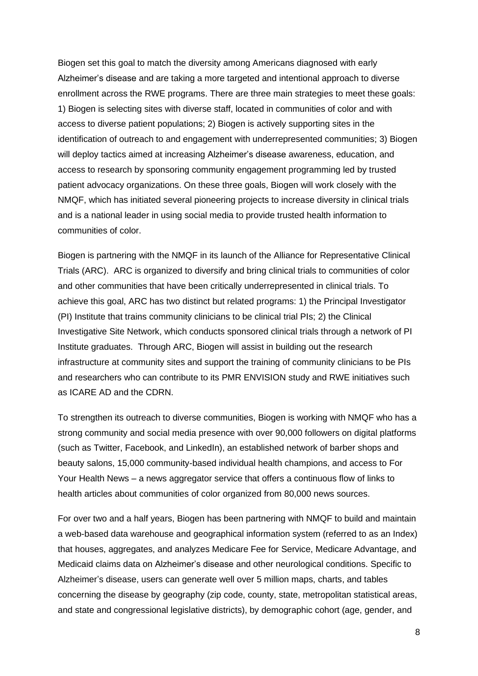Biogen set this goal to match the diversity among Americans diagnosed with early Alzheimer's disease and are taking a more targeted and intentional approach to diverse enrollment across the RWE programs. There are three main strategies to meet these goals: 1) Biogen is selecting sites with diverse staff, located in communities of color and with access to diverse patient populations; 2) Biogen is actively supporting sites in the identification of outreach to and engagement with underrepresented communities; 3) Biogen will deploy tactics aimed at increasing Alzheimer's disease awareness, education, and access to research by sponsoring community engagement programming led by trusted patient advocacy organizations. On these three goals, Biogen will work closely with the NMQF, which has initiated several pioneering projects to increase diversity in clinical trials and is a national leader in using social media to provide trusted health information to communities of color.

Biogen is partnering with the NMQF in its launch of the Alliance for Representative Clinical Trials (ARC). ARC is organized to diversify and bring clinical trials to communities of color and other communities that have been critically underrepresented in clinical trials. To achieve this goal, ARC has two distinct but related programs: 1) the Principal Investigator (PI) Institute that trains community clinicians to be clinical trial PIs; 2) the Clinical Investigative Site Network, which conducts sponsored clinical trials through a network of PI Institute graduates. Through ARC, Biogen will assist in building out the research infrastructure at community sites and support the training of community clinicians to be PIs and researchers who can contribute to its PMR ENVISION study and RWE initiatives such as ICARE AD and the CDRN.

To strengthen its outreach to diverse communities, Biogen is working with NMQF who has a strong community and social media presence with over 90,000 followers on digital platforms (such as Twitter, Facebook, and LinkedIn), an established network of barber shops and beauty salons, 15,000 community-based individual health champions, and access to For Your Health News – a news aggregator service that offers a continuous flow of links to health articles about communities of color organized from 80,000 news sources.

For over two and a half years, Biogen has been partnering with NMQF to build and maintain a web-based data warehouse and geographical information system (referred to as an Index) that houses, aggregates, and analyzes Medicare Fee for Service, Medicare Advantage, and Medicaid claims data on Alzheimer's disease and other neurological conditions. Specific to Alzheimer's disease, users can generate well over 5 million maps, charts, and tables concerning the disease by geography (zip code, county, state, metropolitan statistical areas, and state and congressional legislative districts), by demographic cohort (age, gender, and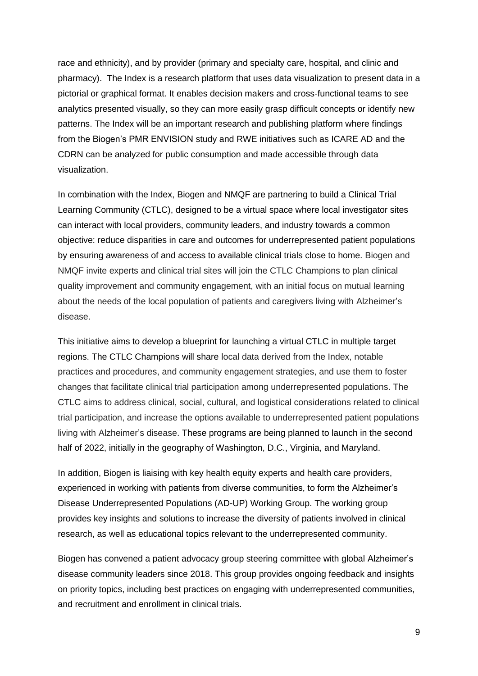race and ethnicity), and by provider (primary and specialty care, hospital, and clinic and pharmacy). The Index is a research platform that uses data visualization to present data in a pictorial or graphical format. It enables decision makers and cross-functional teams to see analytics presented visually, so they can more easily grasp difficult concepts or identify new patterns. The Index will be an important research and publishing platform where findings from the Biogen's PMR ENVISION study and RWE initiatives such as ICARE AD and the CDRN can be analyzed for public consumption and made accessible through data visualization.

In combination with the Index, Biogen and NMQF are partnering to build a Clinical Trial Learning Community (CTLC), designed to be a virtual space where local investigator sites can interact with local providers, community leaders, and industry towards a common objective: reduce disparities in care and outcomes for underrepresented patient populations by ensuring awareness of and access to available clinical trials close to home. Biogen and NMQF invite experts and clinical trial sites will join the CTLC Champions to plan clinical quality improvement and community engagement, with an initial focus on mutual learning about the needs of the local population of patients and caregivers living with Alzheimer's disease.

This initiative aims to develop a blueprint for launching a virtual CTLC in multiple target regions. The CTLC Champions will share local data derived from the Index, notable practices and procedures, and community engagement strategies, and use them to foster changes that facilitate clinical trial participation among underrepresented populations. The CTLC aims to address clinical, social, cultural, and logistical considerations related to clinical trial participation, and increase the options available to underrepresented patient populations living with Alzheimer's disease. These programs are being planned to launch in the second half of 2022, initially in the geography of Washington, D.C., Virginia, and Maryland.

In addition, Biogen is liaising with key health equity experts and health care providers, experienced in working with patients from diverse communities, to form the Alzheimer's Disease Underrepresented Populations (AD-UP) Working Group. The working group provides key insights and solutions to increase the diversity of patients involved in clinical research, as well as educational topics relevant to the underrepresented community.

Biogen has convened a patient advocacy group steering committee with global Alzheimer's disease community leaders since 2018. This group provides ongoing feedback and insights on priority topics, including best practices on engaging with underrepresented communities, and recruitment and enrollment in clinical trials.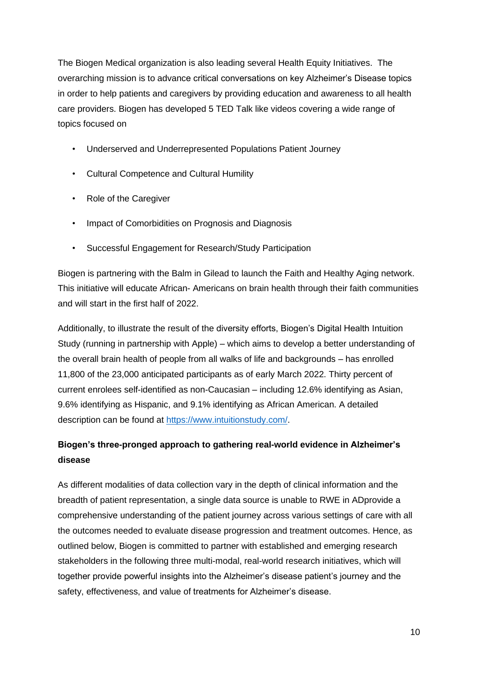The Biogen Medical organization is also leading several Health Equity Initiatives. The overarching mission is to advance critical conversations on key Alzheimer's Disease topics in order to help patients and caregivers by providing education and awareness to all health care providers. Biogen has developed 5 TED Talk like videos covering a wide range of topics focused on

- Underserved and Underrepresented Populations Patient Journey
- Cultural Competence and Cultural Humility
- Role of the Caregiver
- Impact of Comorbidities on Prognosis and Diagnosis
- Successful Engagement for Research/Study Participation

Biogen is partnering with the Balm in Gilead to launch the Faith and Healthy Aging network. This initiative will educate African- Americans on brain health through their faith communities and will start in the first half of 2022.

Additionally, to illustrate the result of the diversity efforts, Biogen's Digital Health Intuition Study (running in partnership with Apple) – which aims to develop a better understanding of the overall brain health of people from all walks of life and backgrounds – has enrolled 11,800 of the 23,000 anticipated participants as of early March 2022. Thirty percent of current enrolees self-identified as non-Caucasian – including 12.6% identifying as Asian, 9.6% identifying as Hispanic, and 9.1% identifying as African American. A detailed description can be found at [https://www.intuitionstudy.com/.](about:blank)

# **Biogen's three-pronged approach to gathering real-world evidence in Alzheimer's disease**

As different modalities of data collection vary in the depth of clinical information and the breadth of patient representation, a single data source is unable to RWE in ADprovide a comprehensive understanding of the patient journey across various settings of care with all the outcomes needed to evaluate disease progression and treatment outcomes. Hence, as outlined below, Biogen is committed to partner with established and emerging research stakeholders in the following three multi-modal, real-world research initiatives, which will together provide powerful insights into the Alzheimer's disease patient's journey and the safety, effectiveness, and value of treatments for Alzheimer's disease.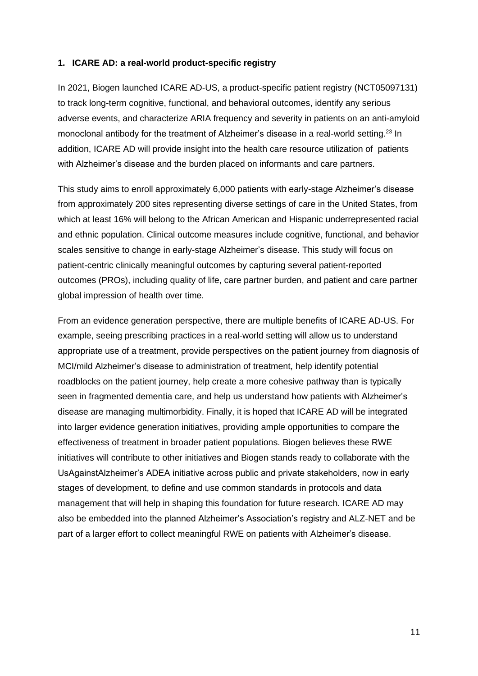#### **1. ICARE AD: a real-world product-specific registry**

In 2021, Biogen launched ICARE AD-US, a product-specific patient registry (NCT05097131) to track long-term cognitive, functional, and behavioral outcomes, identify any serious adverse events, and characterize ARIA frequency and severity in patients on an anti-amyloid monoclonal antibody for the treatment of Alzheimer's disease in a real-world setting.<sup>23</sup> In addition, ICARE AD will provide insight into the health care resource utilization of patients with Alzheimer's disease and the burden placed on informants and care partners.

This study aims to enroll approximately 6,000 patients with early-stage Alzheimer's disease from approximately 200 sites representing diverse settings of care in the United States, from which at least 16% will belong to the African American and Hispanic underrepresented racial and ethnic population. Clinical outcome measures include cognitive, functional, and behavior scales sensitive to change in early-stage Alzheimer's disease. This study will focus on patient-centric clinically meaningful outcomes by capturing several patient-reported outcomes (PROs), including quality of life, care partner burden, and patient and care partner global impression of health over time.

From an evidence generation perspective, there are multiple benefits of ICARE AD-US. For example, seeing prescribing practices in a real-world setting will allow us to understand appropriate use of a treatment, provide perspectives on the patient journey from diagnosis of MCI/mild Alzheimer's disease to administration of treatment, help identify potential roadblocks on the patient journey, help create a more cohesive pathway than is typically seen in fragmented dementia care, and help us understand how patients with Alzheimer's disease are managing multimorbidity. Finally, it is hoped that ICARE AD will be integrated into larger evidence generation initiatives, providing ample opportunities to compare the effectiveness of treatment in broader patient populations. Biogen believes these RWE initiatives will contribute to other initiatives and Biogen stands ready to collaborate with the UsAgainstAlzheimer's ADEA initiative across public and private stakeholders, now in early stages of development, to define and use common standards in protocols and data management that will help in shaping this foundation for future research. ICARE AD may also be embedded into the planned Alzheimer's Association's registry and ALZ-NET and be part of a larger effort to collect meaningful RWE on patients with Alzheimer's disease.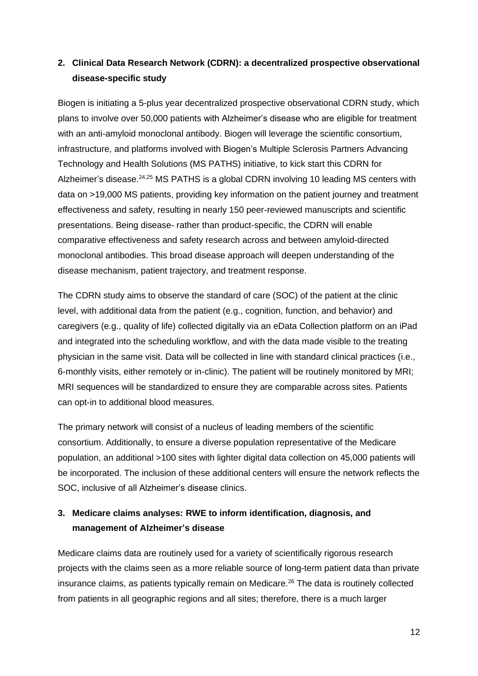## **2. Clinical Data Research Network (CDRN): a decentralized prospective observational disease-specific study**

Biogen is initiating a 5-plus year decentralized prospective observational CDRN study, which plans to involve over 50,000 patients with Alzheimer's disease who are eligible for treatment with an anti-amyloid monoclonal antibody. Biogen will leverage the scientific consortium, infrastructure, and platforms involved with Biogen's Multiple Sclerosis Partners Advancing Technology and Health Solutions (MS PATHS) initiative, to kick start this CDRN for Alzheimer's disease.<sup>24,25</sup> MS PATHS is a global CDRN involving 10 leading MS centers with data on >19,000 MS patients, providing key information on the patient journey and treatment effectiveness and safety, resulting in nearly 150 peer-reviewed manuscripts and scientific presentations. Being disease- rather than product-specific, the CDRN will enable comparative effectiveness and safety research across and between amyloid-directed monoclonal antibodies. This broad disease approach will deepen understanding of the disease mechanism, patient trajectory, and treatment response.

The CDRN study aims to observe the standard of care (SOC) of the patient at the clinic level, with additional data from the patient (e.g., cognition, function, and behavior) and caregivers (e.g., quality of life) collected digitally via an eData Collection platform on an iPad and integrated into the scheduling workflow, and with the data made visible to the treating physician in the same visit. Data will be collected in line with standard clinical practices (i.e., 6-monthly visits, either remotely or in-clinic). The patient will be routinely monitored by MRI; MRI sequences will be standardized to ensure they are comparable across sites. Patients can opt-in to additional blood measures.

The primary network will consist of a nucleus of leading members of the scientific consortium. Additionally, to ensure a diverse population representative of the Medicare population, an additional >100 sites with lighter digital data collection on 45,000 patients will be incorporated. The inclusion of these additional centers will ensure the network reflects the SOC, inclusive of all Alzheimer's disease clinics.

# **3. Medicare claims analyses: RWE to inform identification, diagnosis, and management of Alzheimer's disease**

Medicare claims data are routinely used for a variety of scientifically rigorous research projects with the claims seen as a more reliable source of long-term patient data than private insurance claims, as patients typically remain on Medicare.<sup>26</sup> The data is routinely collected from patients in all geographic regions and all sites; therefore, there is a much larger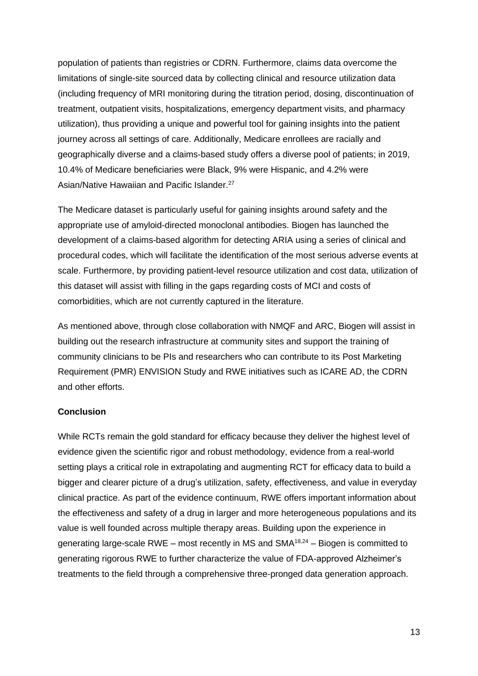population of patients than registries or CDRN. Furthermore, claims data overcome the limitations of single-site sourced data by collecting clinical and resource utilization data (including frequency of MRI monitoring during the titration period, dosing, discontinuation of treatment, outpatient visits, hospitalizations, emergency department visits, and pharmacy utilization), thus providing a unique and powerful tool for gaining insights into the patient journey across all settings of care. Additionally, Medicare enrollees are racially and geographically diverse and a claims-based study offers a diverse pool of patients; in 2019, 10.4% of Medicare beneficiaries were Black, 9% were Hispanic, and 4.2% were Asian/Native Hawaiian and Pacific Islander.<sup>27</sup>

The Medicare dataset is particularly useful for gaining insights around safety and the appropriate use of amyloid-directed monoclonal antibodies. Biogen has launched the development of a claims-based algorithm for detecting ARIA using a series of clinical and procedural codes, which will facilitate the identification of the most serious adverse events at scale. Furthermore, by providing patient-level resource utilization and cost data, utilization of this dataset will assist with filling in the gaps regarding costs of MCI and costs of comorbidities, which are not currently captured in the literature.

As mentioned above, through close collaboration with NMQF and ARC, Biogen will assist in building out the research infrastructure at community sites and support the training of community clinicians to be PIs and researchers who can contribute to its Post Marketing Requirement (PMR) ENVISION Study and RWE initiatives such as ICARE AD, the CDRN and other efforts.

### **Conclusion**

While RCTs remain the gold standard for efficacy because they deliver the highest level of evidence given the scientific rigor and robust methodology, evidence from a real-world setting plays a critical role in extrapolating and augmenting RCT for efficacy data to build a bigger and clearer picture of a drug's utilization, safety, effectiveness, and value in everyday clinical practice. As part of the evidence continuum, RWE offers important information about the effectiveness and safety of a drug in larger and more heterogeneous populations and its value is well founded across multiple therapy areas. Building upon the experience in generating large-scale RWE – most recently in MS and  $SMA^{18,24}$  – Biogen is committed to generating rigorous RWE to further characterize the value of FDA-approved Alzheimer's treatments to the field through a comprehensive three-pronged data generation approach.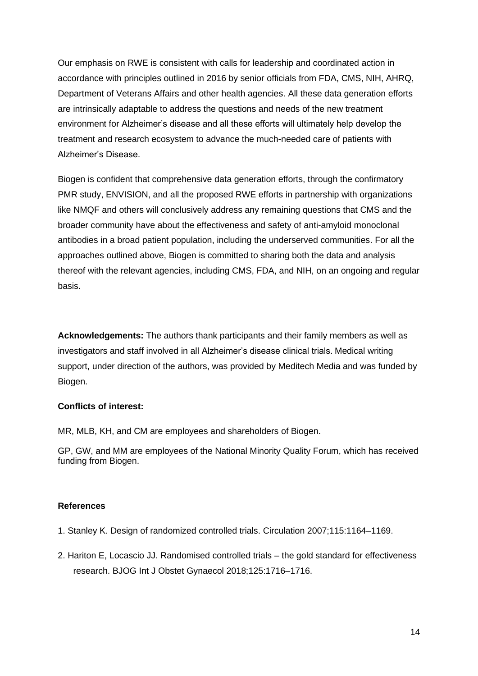Our emphasis on RWE is consistent with calls for leadership and coordinated action in accordance with principles outlined in 2016 by senior officials from FDA, CMS, NIH, AHRQ, Department of Veterans Affairs and other health agencies. All these data generation efforts are intrinsically adaptable to address the questions and needs of the new treatment environment for Alzheimer's disease and all these efforts will ultimately help develop the treatment and research ecosystem to advance the much-needed care of patients with Alzheimer's Disease.

Biogen is confident that comprehensive data generation efforts, through the confirmatory PMR study, ENVISION, and all the proposed RWE efforts in partnership with organizations like NMQF and others will conclusively address any remaining questions that CMS and the broader community have about the effectiveness and safety of anti-amyloid monoclonal antibodies in a broad patient population, including the underserved communities. For all the approaches outlined above, Biogen is committed to sharing both the data and analysis thereof with the relevant agencies, including CMS, FDA, and NIH, on an ongoing and regular basis.

**Acknowledgements:** The authors thank participants and their family members as well as investigators and staff involved in all Alzheimer's disease clinical trials. Medical writing support, under direction of the authors, was provided by Meditech Media and was funded by Biogen.

### **Conflicts of interest:**

MR, MLB, KH, and CM are employees and shareholders of Biogen.

GP, GW, and MM are employees of the National Minority Quality Forum, which has received funding from Biogen.

### **References**

- 1. Stanley K. Design of randomized controlled trials. Circulation 2007;115:1164–1169.
- 2. Hariton E, Locascio JJ. Randomised controlled trials the gold standard for effectiveness research. BJOG Int J Obstet Gynaecol 2018;125:1716–1716.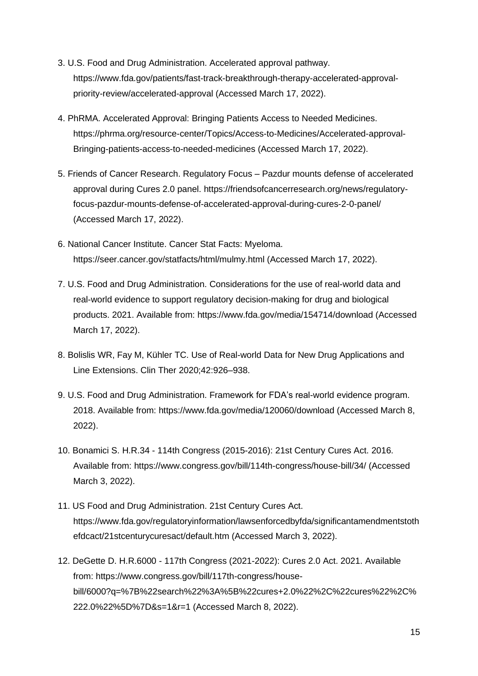- 3. U.S. Food and Drug Administration. Accelerated approval pathway. https://www.fda.gov/patients/fast-track-breakthrough-therapy-accelerated-approvalpriority-review/accelerated-approval (Accessed March 17, 2022).
- 4. PhRMA. Accelerated Approval: Bringing Patients Access to Needed Medicines. https://phrma.org/resource-center/Topics/Access-to-Medicines/Accelerated-approval-Bringing-patients-access-to-needed-medicines (Accessed March 17, 2022).
- 5. Friends of Cancer Research. Regulatory Focus Pazdur mounts defense of accelerated approval during Cures 2.0 panel. https://friendsofcancerresearch.org/news/regulatoryfocus-pazdur-mounts-defense-of-accelerated-approval-during-cures-2-0-panel/ (Accessed March 17, 2022).
- 6. National Cancer Institute. Cancer Stat Facts: Myeloma. https://seer.cancer.gov/statfacts/html/mulmy.html (Accessed March 17, 2022).
- 7. U.S. Food and Drug Administration. Considerations for the use of real-world data and real-world evidence to support regulatory decision-making for drug and biological products. 2021. Available from: https://www.fda.gov/media/154714/download (Accessed March 17, 2022).
- 8. Bolislis WR, Fay M, Kühler TC. Use of Real-world Data for New Drug Applications and Line Extensions. Clin Ther 2020;42:926–938.
- 9. U.S. Food and Drug Administration. Framework for FDA's real-world evidence program. 2018. Available from: https://www.fda.gov/media/120060/download (Accessed March 8, 2022).
- 10. Bonamici S. H.R.34 114th Congress (2015-2016): 21st Century Cures Act. 2016. Available from: https://www.congress.gov/bill/114th-congress/house-bill/34/ (Accessed March 3, 2022).
- 11. US Food and Drug Administration. 21st Century Cures Act. https://www.fda.gov/regulatoryinformation/lawsenforcedbyfda/significantamendmentstoth efdcact/21stcenturycuresact/default.htm (Accessed March 3, 2022).
- 12. DeGette D. H.R.6000 117th Congress (2021-2022): Cures 2.0 Act. 2021. Available from: https://www.congress.gov/bill/117th-congress/housebill/6000?q=%7B%22search%22%3A%5B%22cures+2.0%22%2C%22cures%22%2C% 222.0%22%5D%7D&s=1&r=1 (Accessed March 8, 2022).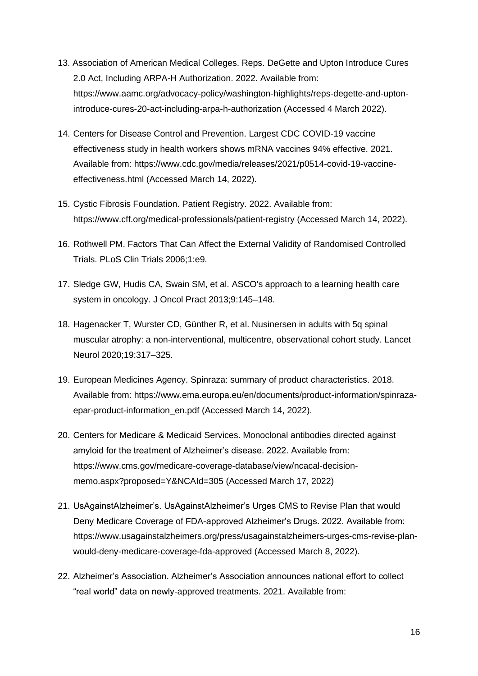- 13. Association of American Medical Colleges. Reps. DeGette and Upton Introduce Cures 2.0 Act, Including ARPA-H Authorization. 2022. Available from: https://www.aamc.org/advocacy-policy/washington-highlights/reps-degette-and-uptonintroduce-cures-20-act-including-arpa-h-authorization (Accessed 4 March 2022).
- 14. Centers for Disease Control and Prevention. Largest CDC COVID-19 vaccine effectiveness study in health workers shows mRNA vaccines 94% effective. 2021. Available from: https://www.cdc.gov/media/releases/2021/p0514-covid-19-vaccineeffectiveness.html (Accessed March 14, 2022).
- 15. Cystic Fibrosis Foundation. Patient Registry. 2022. Available from: https://www.cff.org/medical-professionals/patient-registry (Accessed March 14, 2022).
- 16. Rothwell PM. Factors That Can Affect the External Validity of Randomised Controlled Trials. PLoS Clin Trials 2006;1:e9.
- 17. Sledge GW, Hudis CA, Swain SM, et al. ASCO's approach to a learning health care system in oncology. J Oncol Pract 2013;9:145–148.
- 18. Hagenacker T, Wurster CD, Günther R, et al. Nusinersen in adults with 5q spinal muscular atrophy: a non-interventional, multicentre, observational cohort study. Lancet Neurol 2020;19:317–325.
- 19. European Medicines Agency. Spinraza: summary of product characteristics. 2018. Available from: https://www.ema.europa.eu/en/documents/product-information/spinrazaepar-product-information\_en.pdf (Accessed March 14, 2022).
- 20. Centers for Medicare & Medicaid Services. Monoclonal antibodies directed against amyloid for the treatment of Alzheimer's disease. 2022. Available from: https://www.cms.gov/medicare-coverage-database/view/ncacal-decisionmemo.aspx?proposed=Y&NCAId=305 (Accessed March 17, 2022)
- 21. UsAgainstAlzheimer's. UsAgainstAlzheimer's Urges CMS to Revise Plan that would Deny Medicare Coverage of FDA-approved Alzheimer's Drugs. 2022. Available from: https://www.usagainstalzheimers.org/press/usagainstalzheimers-urges-cms-revise-planwould-deny-medicare-coverage-fda-approved (Accessed March 8, 2022).
- 22. Alzheimer's Association. Alzheimer's Association announces national effort to collect "real world" data on newly-approved treatments. 2021. Available from: